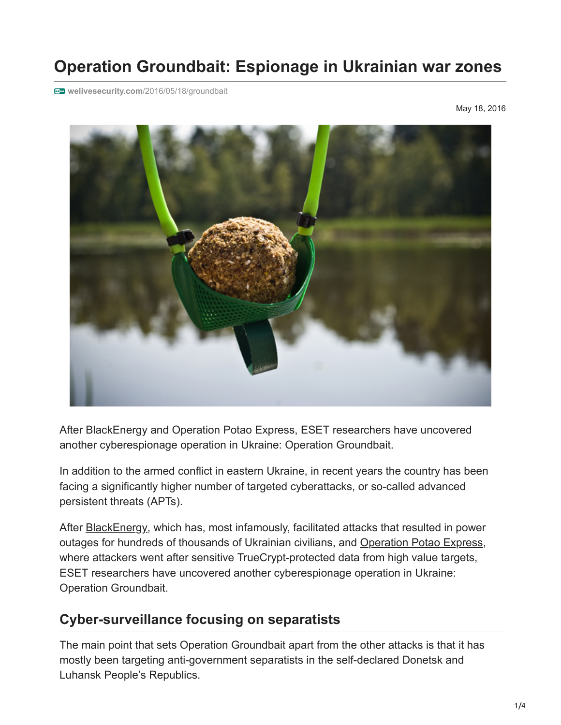# **Operation Groundbait: Espionage in Ukrainian war zones**

**welivesecurity.com**[/2016/05/18/groundbait](http://www.welivesecurity.com/2016/05/18/groundbait)

May 18, 2016



After BlackEnergy and Operation Potao Express, ESET researchers have uncovered another cyberespionage operation in Ukraine: Operation Groundbait.

In addition to the armed conflict in eastern Ukraine, in recent years the country has been facing a significantly higher number of targeted cyberattacks, or so-called advanced persistent threats (APTs).

After **[BlackEnergy](http://www.welivesecurity.com/2016/01/20/new-wave-attacks-ukrainian-power-industry/)**, which has, most infamously, facilitated attacks that resulted in power outages for hundreds of thousands of Ukrainian civilians, and [Operation Potao Express](http://www.welivesecurity.com/2015/07/30/operation-potao-express/), where attackers went after sensitive TrueCrypt-protected data from high value targets, ESET researchers have uncovered another cyberespionage operation in Ukraine: Operation Groundbait.

#### **Cyber-surveillance focusing on separatists**

The main point that sets Operation Groundbait apart from the other attacks is that it has mostly been targeting anti-government separatists in the self-declared Donetsk and Luhansk People's Republics.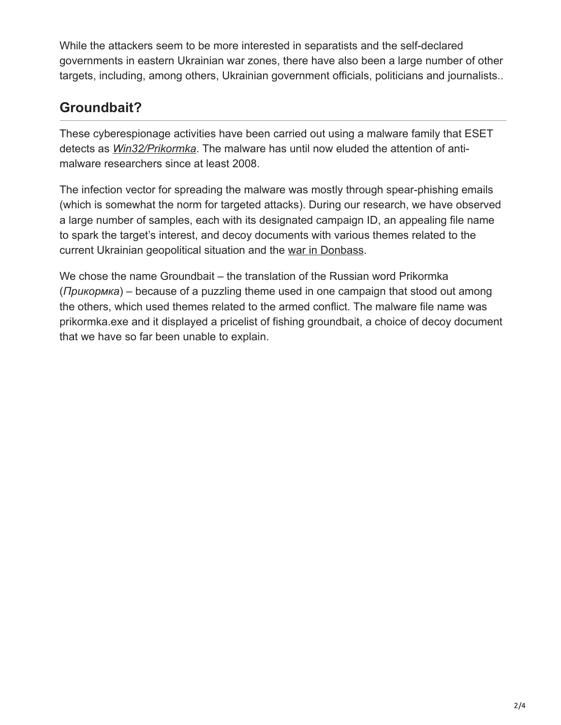While the attackers seem to be more interested in separatists and the self-declared governments in eastern Ukrainian war zones, there have also been a large number of other targets, including, among others, Ukrainian government officials, politicians and journalists..

### **Groundbait?**

These cyberespionage activities have been carried out using a malware family that ESET detects as *[Win32/Prikormka](http://virusradar.com/en/Win32_Prikormka/detail)*. The malware has until now eluded the attention of antimalware researchers since at least 2008.

The infection vector for spreading the malware was mostly through spear-phishing emails (which is somewhat the norm for targeted attacks). During our research, we have observed a large number of samples, each with its designated campaign ID, an appealing file name to spark the target's interest, and decoy documents with various themes related to the current Ukrainian geopolitical situation and the [war in Donbass.](https://en.wikipedia.org/wiki/War_in_Donbass)

We chose the name Groundbait – the translation of the Russian word Prikormka (*Прикормка*) – because of a puzzling theme used in one campaign that stood out among the others, which used themes related to the armed conflict. The malware file name was prikormka.exe and it displayed a pricelist of fishing groundbait, a choice of decoy document that we have so far been unable to explain.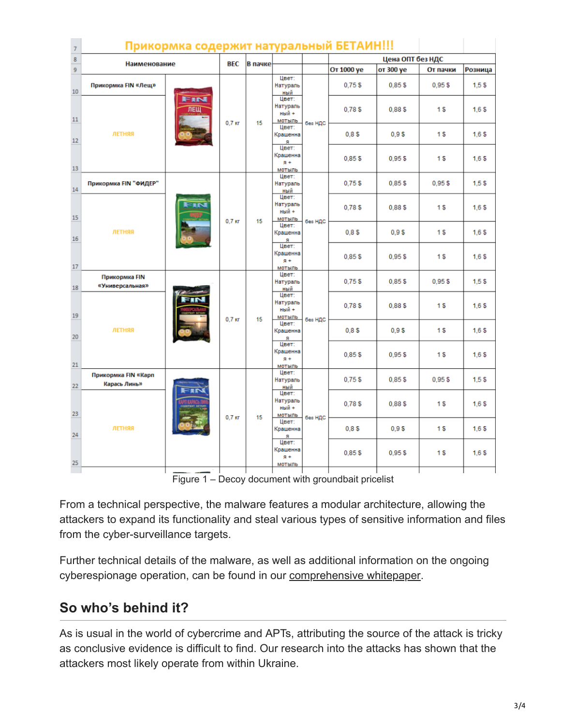| $\overline{7}$ |                                     | Прикормка содержит натуральный БЕТАИН!!! |                  |                                        |                                        |         |                           |                   |                   |                  |
|----------------|-------------------------------------|------------------------------------------|------------------|----------------------------------------|----------------------------------------|---------|---------------------------|-------------------|-------------------|------------------|
| 8              |                                     |                                          |                  |                                        |                                        |         | Цена ОПТ без НДС          |                   |                   |                  |
| 9              | Наименование                        |                                          | <b>BEC</b>       | В пачке                                |                                        |         | От 1000 уе                | от 300 уе         | От пачки          | Розница          |
| 10             | Прикормка FIN «Лещ»                 |                                          |                  |                                        | Цвет:<br>Натураль<br>ный               |         | $0,75$ \$                 | 0.85\$            | $0,95$ \$         | 1,53             |
| 11             |                                     | FIN<br><b>JIEW</b>                       | $0.7$ Kr         | 15                                     | Цвет:<br>Натураль<br>ный +<br>мотыль   | без НДС | 0.78S                     | 0.88\$            | 1 <sub>s</sub>    | 1.6S             |
| 12             | ЛЕТНЯЯ                              |                                          |                  |                                        | Цвет:<br>Крашенна<br>я                 |         | 0.8 <sup>5</sup>          | 0.9 <sup>5</sup>  | 1 <sub>s</sub>    | 1,65             |
| 13             |                                     |                                          |                  | Цвет:<br>Крашенна<br>$R + R$<br>мотыль |                                        | 0.85S   | 0.95S                     | 1S                | 1,65              |                  |
| 14             | Прикормка FIN "ФИДЕР"               |                                          |                  |                                        | Цвет:<br>Натураль<br>ный               |         | 0.75S                     | 0.85S             | $0,95$ \$         | 1,55             |
| 15             | ЛЕТНЯЯ                              | $0.7$ $\kappa$ r                         | 15               | Цвет:<br>Натураль<br>ный +<br>мотыль   | без НДС                                | 0.78S   | 0,88\$                    | 1 <sub>s</sub>    | 1.6 <sub>5</sub>  |                  |
| 16             |                                     |                                          |                  | Цвет:<br>Крашенна<br>я                 |                                        | 0.8S    | 0.9S                      | 1 <sub>s</sub>    | 1,65              |                  |
| 17             |                                     |                                          |                  |                                        | Цвет:<br>Крашенна<br>$R + R$<br>мотыль |         | 0.85S                     | 0.95S             | 1 <sub>s</sub>    | 1.6S             |
| 18             | Прикормка FIN<br>«Универсальная»    |                                          |                  |                                        | Цвет:<br>Натураль<br>ный               |         | 0.75S                     | 0.85S             | 0,955             | 1,55             |
| 19             |                                     |                                          | $0.7$ $\kappa$ r | 15                                     | Цвет:<br>Натураль<br>ный +<br>МОТЫЛЬ   | без НДС | 0.78S                     | 0.88\$            | 1 <sub>s</sub>    | 1.6S             |
| 20             | ЛЕТНЯЯ                              |                                          |                  | Цвет:<br>Крашенна<br>я                 |                                        | 0.8S    | 0.9S                      | 1 <sub>s</sub>    | 1.6S              |                  |
| 21             |                                     |                                          |                  |                                        | Цвет:<br>Крашенна<br>$R +$<br>мотыль   |         | $0,85$ \$                 | 0,95S             | 1 <sub>s</sub>    | 1,65             |
| 22             | Прикормка FIN «Карп<br>Карась Линь» |                                          |                  |                                        | Цвет:<br>Натураль<br>ный               |         | 0.75 <sub>5</sub>         | 0.85 <sub>5</sub> | 0.95 <sub>5</sub> | 1.5 <sub>3</sub> |
| 23             | ЛЕТНЯЯ                              | $0.7$ Kr                                 | 15               | Цвет:<br>Натураль<br>ный +<br>мотыль   | без НДС                                | 0,785   | 0,88\$                    | 1 \$              | 1,65              |                  |
| 24             |                                     |                                          |                  |                                        | Цвет:<br>Крашенна<br>я                 |         | 0.8S                      | 0.9\$             | 1 <sub>s</sub>    | 1.6S             |
| 25             |                                     |                                          |                  |                                        | Цвет:<br>Крашенна<br>$R +$<br>мотыль   |         | 0.85S                     | 0.95S             | 1 <sub>s</sub>    | 1.6 <sub>5</sub> |
|                |                                     |                                          |                  |                                        |                                        |         | $\mathbf{u} = \mathbf{u}$ |                   |                   |                  |

Figure 1 – Decoy document with groundbait pricelist

From a technical perspective, the malware features a modular architecture, allowing the attackers to expand its functionality and steal various types of sensitive information and files from the cyber-surveillance targets.

Further technical details of the malware, as well as additional information on the ongoing cyberespionage operation, can be found in our [comprehensive whitepaper](http://www.welivesecurity.com/wp-content/uploads/2016/05/Operation-Groundbait.pdf).

## **So who's behind it?**

As is usual in the world of cybercrime and APTs, attributing the source of the attack is tricky as conclusive evidence is difficult to find. Our research into the attacks has shown that the attackers most likely operate from within Ukraine.